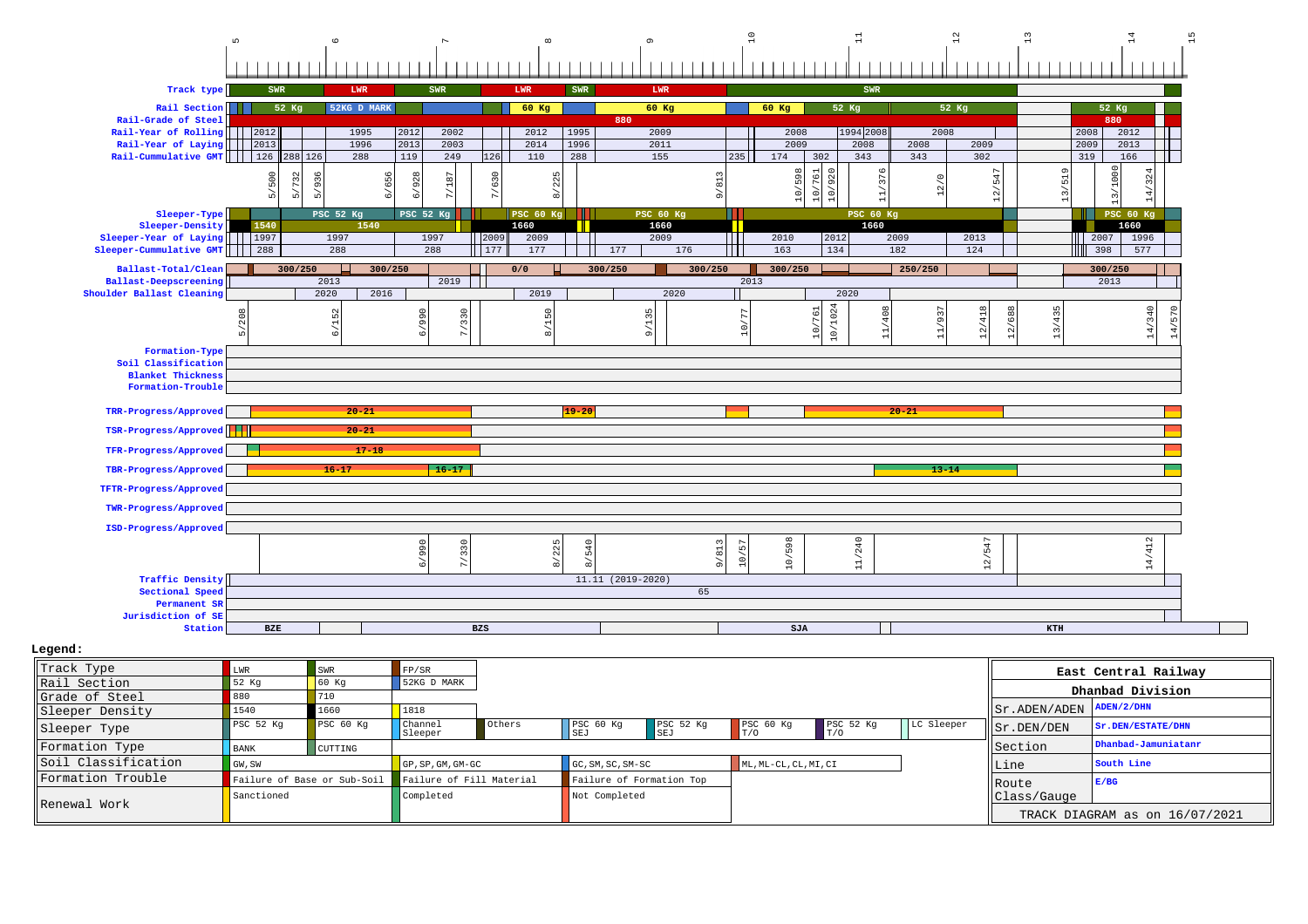|                                                                      | $\mathsf{L}\cap$ | $\circ$                     |                                       | $\infty$                   |                                           |              | $\overline{a}$           | $\mathbb{I}$      |                          | $^{2}$                  | 13           | 14                                 |  |
|----------------------------------------------------------------------|------------------|-----------------------------|---------------------------------------|----------------------------|-------------------------------------------|--------------|--------------------------|-------------------|--------------------------|-------------------------|--------------|------------------------------------|--|
|                                                                      |                  |                             |                                       |                            |                                           |              |                          |                   |                          |                         |              |                                    |  |
| Track type                                                           | SWR              | LWR                         | <b>SWR</b>                            | LWR                        | SWR                                       | LWR          |                          | SWR               |                          |                         |              |                                    |  |
| Rail Section                                                         | 52 Kg            | 52KG D MARK                 |                                       | $60$ Kg                    |                                           | 60 Kg        | 60 Kg                    | 52 Kg             | 52 Kg                    |                         |              | 52 Kg                              |  |
| Rail-Grade of Steel                                                  |                  |                             |                                       |                            | 880                                       |              |                          |                   |                          |                         |              | 880                                |  |
| Rail-Year of Rolling       2012<br>Rail-Year of Laying       2013    |                  | 1995<br>1996                | 2012<br>2002<br>2013<br>2003          | 2012<br>2014               | 1995<br>1996                              | 2009<br>2011 | 2008<br>2009             | 1994 2008<br>2008 | 2008<br>2008             |                         | 2008<br>2009 | 2012<br>2013                       |  |
| Rail-Cummulative GMT       126                                       | 288 126          | 288                         | $\overline{119}$<br>249               | 126<br>110                 | 288                                       | 155          | 235<br>174               | 302<br>343        | 343                      | 2009<br>302             | 319          | 166                                |  |
|                                                                      |                  |                             |                                       |                            |                                           |              |                          | 20<br>$\sqrt{2}$  |                          |                         |              | 3                                  |  |
|                                                                      | 5/732            | 936<br>6/656                | 928<br>187                            | 225                        |                                           | 9/813        | 865.                     | 376<br>୍ଟ         | 12/0                     | $-547$                  | $-519$       | 1324                               |  |
|                                                                      |                  | LO <sub>1</sub>             |                                       | ္တ                         |                                           |              | $\frac{1}{2}$            | $\epsilon$        |                          | $\frac{2}{1}$           | <u>n</u>     | 14,                                |  |
| Sleeper-Type                                                         |                  | PSC 52 Kg                   | PSC 52 Kg                             | <b>PSC 60 Kg</b>           |                                           | PSC 60 Kg    |                          | <b>PSC 60 Kg</b>  |                          |                         |              | <b>PSC 60 Kg</b>                   |  |
| Sleeper-Density                                                      | 1540             | 1540                        |                                       | 1660                       |                                           | 1660         |                          | 1660              |                          |                         |              | 1660                               |  |
| Sleeper-Year of Laying       1997<br>Sleeper-Cummulative GMT     288 |                  | 1997<br>288                 | 1997<br>288                           | 2009<br>2009<br>177<br>177 | 177                                       | 2009<br>176  | a ma<br>2010<br>Ш<br>163 | 2012<br>134       | 2009<br>$\overline{182}$ | 2013<br>124             |              | $\vert$ 2007<br>1996<br>398<br>577 |  |
|                                                                      |                  |                             |                                       |                            |                                           |              |                          |                   |                          |                         |              |                                    |  |
| Ballast-Total/Clean                                                  | 300/250          | 300/250<br>2013             | 2019                                  | 0/0                        | 300/250                                   | 300/250      | 300/250<br>2013          |                   | 250/250                  |                         |              | 300/250<br>2013                    |  |
| <b>Ballast-Deepscreening</b><br>Shoulder Ballast Cleaning            |                  | 2020<br>2016                |                                       | 2019                       |                                           | 2020         |                          | 2020              |                          |                         |              |                                    |  |
|                                                                      |                  |                             |                                       |                            |                                           |              |                          |                   |                          |                         |              | $\circ$                            |  |
|                                                                      |                  | 6/152                       | 6/990<br>330                          | 8/150                      |                                           | 35           |                          | 10/1024<br>761    | 11/937                   | 12/418<br>$\frac{8}{2}$ | 13/435       | 14/340                             |  |
|                                                                      |                  |                             |                                       |                            |                                           | ā            | $\supseteq$              | $\tilde{\circ}$   |                          | $\tilde{\mathbf{C}}$    |              | $\vec{a}$                          |  |
| Formation-Type                                                       |                  |                             |                                       |                            |                                           |              |                          |                   |                          |                         |              |                                    |  |
| Soil Classification                                                  |                  |                             |                                       |                            |                                           |              |                          |                   |                          |                         |              |                                    |  |
| <b>Blanket Thickness</b>                                             |                  |                             |                                       |                            |                                           |              |                          |                   |                          |                         |              |                                    |  |
| Formation-Trouble                                                    |                  |                             |                                       |                            |                                           |              |                          |                   |                          |                         |              |                                    |  |
| TRR-Progress/Approved                                                |                  | $20 - 21$                   |                                       |                            | $19 - 20$                                 |              |                          |                   | $20 - 21$                |                         |              |                                    |  |
| TSR-Progress/Approved                                                |                  | $20 - 21$                   |                                       |                            |                                           |              |                          |                   |                          |                         |              |                                    |  |
|                                                                      |                  |                             |                                       |                            |                                           |              |                          |                   |                          |                         |              |                                    |  |
| TFR-Progress/Approved                                                |                  |                             |                                       |                            |                                           |              |                          |                   |                          |                         |              |                                    |  |
|                                                                      |                  | $17 - 18$                   |                                       |                            |                                           |              |                          |                   |                          |                         |              |                                    |  |
| TBR-Progress/Approved                                                |                  | $16 - 17$                   | $16 - 17$                             |                            |                                           |              |                          |                   | $13 - 14$                |                         |              |                                    |  |
| TFTR-Progress/Approved                                               |                  |                             |                                       |                            |                                           |              |                          |                   |                          |                         |              |                                    |  |
|                                                                      |                  |                             |                                       |                            |                                           |              |                          |                   |                          |                         |              |                                    |  |
| TWR-Progress/Approved                                                |                  |                             |                                       |                            |                                           |              |                          |                   |                          |                         |              |                                    |  |
| ISD-Progress/Approved                                                |                  |                             |                                       |                            |                                           |              |                          |                   |                          |                         |              |                                    |  |
|                                                                      |                  |                             |                                       |                            | 540                                       |              | F.                       |                   |                          |                         |              |                                    |  |
|                                                                      |                  |                             | 6/990<br>/330                         | 8/225                      |                                           | 9/813        | 10/598<br>$\circ$        | 11/240            |                          |                         |              | 14/412                             |  |
| <b>Traffic Density</b>                                               |                  |                             |                                       |                            | 11.11 (2019-2020)                         |              |                          |                   |                          | 12/547                  |              |                                    |  |
| Sectional Speed                                                      |                  |                             |                                       |                            |                                           | 65           |                          |                   |                          |                         |              |                                    |  |
| Permanent SR                                                         |                  |                             |                                       |                            |                                           |              |                          |                   |                          |                         |              |                                    |  |
| Jurisdiction of SE<br>Station                                        | BZE              |                             |                                       | <b>BZS</b>                 |                                           |              | SJA                      |                   |                          |                         | KTH          |                                    |  |
| Legend:                                                              |                  |                             |                                       |                            |                                           |              |                          |                   |                          |                         |              |                                    |  |
|                                                                      |                  |                             |                                       |                            |                                           |              |                          |                   |                          |                         |              |                                    |  |
| Track Type                                                           | LWR              | $\texttt{SWR}$              | FP/SR                                 |                            |                                           |              |                          |                   |                          |                         |              | East Central Railway               |  |
| Rail Section                                                         | 52 Kg<br>880     | $60$ Kg<br>710              | 52KG D MARK                           |                            |                                           |              |                          |                   |                          |                         |              | Dhanbad Division                   |  |
| Grade of Steel                                                       | 1540             | 1660                        | 1818                                  |                            |                                           |              |                          |                   |                          |                         | Sr.ADEN/ADEN | ADEN/2/DHN                         |  |
| Sleeper Density                                                      | PSC 52 Kg        | PSC 60 Kg                   | Channel                               | Others                     | PSC 60 Kg                                 | PSC 52 Kg    | PSC 60 Kg                | PSC 52 Kg         | LC Sleeper               |                         | Sr.DEN/DEN   | Sr.DEN/ESTATE/DHN                  |  |
| Sleeper Type                                                         |                  |                             | Sleeper                               |                            | SEJ                                       | SEJ          | T/0                      | T/0               |                          |                         |              | Dhanbad-Jamuniatanr                |  |
| Formation Type                                                       | <b>BANK</b>      | CUTTING                     |                                       |                            |                                           |              |                          |                   |                          |                         | Section      |                                    |  |
| Soil Classification                                                  | GW, SW           |                             | GP, SP, GM, GM-GC                     |                            | GC, SM, SC, SM-SC                         |              | ML, ML-CL, CL, MI, CI    |                   |                          | Line                    |              | South Line                         |  |
| Formation Trouble                                                    | Sanctioned       | Failure of Base or Sub-Soil | Failure of Fill Material<br>Completed |                            | Failure of Formation Top<br>Not Completed |              |                          |                   |                          | Route                   | Class/Gauge  | E/BG                               |  |

TRACK DIAGRAM as on 16/07/2021

Renewal Work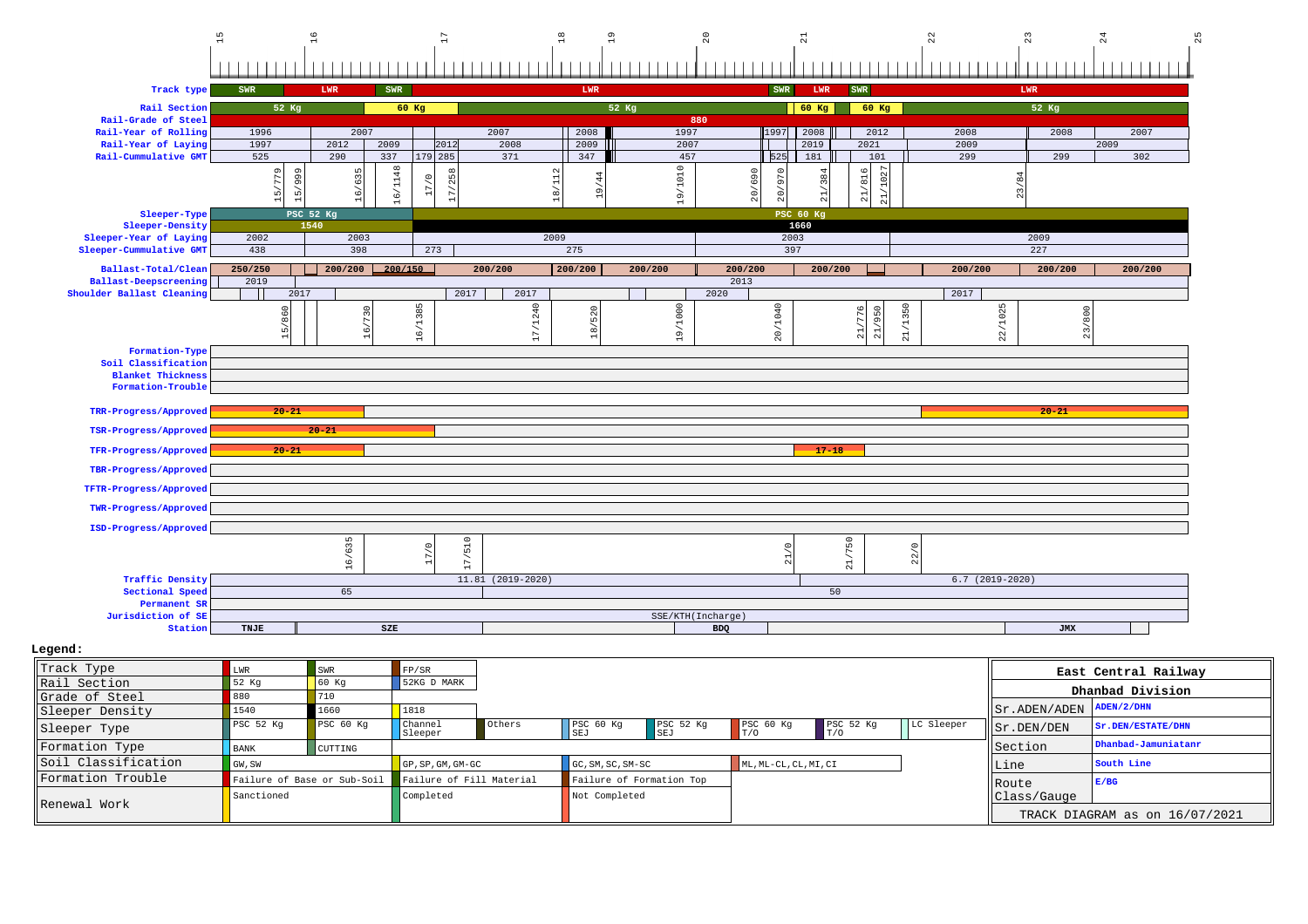|                                              | 15                                     | 16                                         | D                                |                    | $\frac{8}{18}$<br>$\frac{9}{2}$ | $^{20}$                 | $\overline{21}$                          |                                                         | $\overline{2}$   | 23         | $^{24}$<br>25        |
|----------------------------------------------|----------------------------------------|--------------------------------------------|----------------------------------|--------------------|---------------------------------|-------------------------|------------------------------------------|---------------------------------------------------------|------------------|------------|----------------------|
|                                              |                                        |                                            |                                  |                    |                                 |                         |                                          |                                                         |                  |            |                      |
| Track type                                   | SWR                                    | <b>LWR</b><br>SWR                          |                                  |                    | LWR                             |                         | SWR<br>LWR                               | SWR                                                     |                  | LWR        |                      |
| Rail Section                                 | 52 Kg                                  |                                            | 60 Kg                            |                    | 52 Kg                           |                         | 60 Kg                                    | 60 Kg                                                   |                  | 52 Kg      |                      |
| Rail-Grade of Steel                          |                                        |                                            |                                  |                    |                                 | 880                     |                                          |                                                         |                  |            |                      |
| Rail-Year of Rolling                         | 1996                                   | 2007                                       |                                  | 2007               | 2008                            | 1997                    | 2008<br>1997                             | 2012                                                    | 2008             | 2008       | 2007                 |
| Rail-Year of Laying                          | 1997                                   | 2012<br>2009                               | 2012                             | 2008               | 2009                            | 2007                    | 2019                                     | 2021                                                    | 2009             |            | 2009                 |
| Rail-Cummulative GMT                         | 525                                    | 337<br>290                                 | 179 285                          | 371                | 347                             | 457                     | 525<br>181                               | 101                                                     | 299              | 299        | 302                  |
|                                              | 666,<br>15/779<br>$\overrightarrow{5}$ | 16/1148<br>ц<br>$\overline{6}$<br>$\alpha$ | 258<br>$\circ$<br>$\overline{a}$ | $\sim$             | $\sigma$                        | 71010<br>$\frac{9}{11}$ | 20/690<br>21/384<br>97<br>$\overline{c}$ | 21/816                                                  |                  | 23/84      |                      |
| Sleeper-Type                                 |                                        | PSC 52 Kg                                  |                                  |                    |                                 |                         | PSC 60 Kg                                |                                                         |                  |            |                      |
| Sleeper-Density<br>Sleeper-Year of Laying    | 2002                                   | 1540<br>2003                               |                                  | 2009               |                                 |                         | 1660<br>2003                             |                                                         |                  | 2009       |                      |
| Sleeper-Cummulative GMT                      | 438                                    | 398                                        | 273                              |                    | 275                             |                         | 397                                      |                                                         |                  | 227        |                      |
|                                              |                                        |                                            |                                  |                    |                                 |                         |                                          |                                                         |                  |            |                      |
| Ballast-Total/Clean<br>Ballast-Deepscreening | 250/250<br>2019                        | 200/150<br>200/200                         |                                  | 200/200            | 200/200                         | 200/200                 | 200/200<br>2013                          | 200/200                                                 | 200/200          | 200/200    | 200/200              |
| Shoulder Ballast Cleaning                    | 2017                                   |                                            | 2017                             | 2017               |                                 |                         | 2020                                     |                                                         | 2017             |            |                      |
|                                              | 15/860                                 | $\subset$                                  | 16/1385                          | 17/1240            | 18/520                          | 19/1000                 | 20/1040                                  | 21/1350<br>$\mathfrak{c}$<br>95<br>77<br>$\overline{2}$ | 22/1025          | 800<br>23/ |                      |
| Formation-Type                               |                                        |                                            |                                  |                    |                                 |                         |                                          |                                                         |                  |            |                      |
| Soil Classification                          |                                        |                                            |                                  |                    |                                 |                         |                                          |                                                         |                  |            |                      |
| <b>Blanket Thickness</b>                     |                                        |                                            |                                  |                    |                                 |                         |                                          |                                                         |                  |            |                      |
| Formation-Trouble                            |                                        |                                            |                                  |                    |                                 |                         |                                          |                                                         |                  |            |                      |
| TRR-Progress/Approved                        | $20 - 21$                              |                                            |                                  |                    |                                 |                         |                                          |                                                         |                  | $20 - 21$  |                      |
| TSR-Progress/Approved                        |                                        | $20 - 21$                                  |                                  |                    |                                 |                         |                                          |                                                         |                  |            |                      |
| TFR-Progress/Approved                        | $20 - 21$                              |                                            |                                  |                    |                                 |                         |                                          | $17 - 18$                                               |                  |            |                      |
| TBR-Progress/Approved                        |                                        |                                            |                                  |                    |                                 |                         |                                          |                                                         |                  |            |                      |
| TFTR-Progress/Approved                       |                                        |                                            |                                  |                    |                                 |                         |                                          |                                                         |                  |            |                      |
| TWR-Progress/Approved                        |                                        |                                            |                                  |                    |                                 |                         |                                          |                                                         |                  |            |                      |
| ISD-Progress/Approved                        |                                        |                                            |                                  |                    |                                 |                         |                                          |                                                         |                  |            |                      |
|                                              |                                        |                                            | /510<br>$\circ$                  |                    |                                 |                         | $\circ$                                  | /750                                                    |                  |            |                      |
|                                              |                                        | 16/635                                     | $\overline{17}$                  |                    |                                 |                         |                                          | 22/0<br>$\Xi$                                           |                  |            |                      |
| <b>Traffic Density</b>                       |                                        |                                            |                                  | $11.81(2019-2020)$ |                                 |                         |                                          |                                                         | $6.7(2019-2020)$ |            |                      |
| Sectional Speed                              |                                        | 65                                         |                                  |                    |                                 |                         |                                          | 50                                                      |                  |            |                      |
| Permanent SR                                 |                                        |                                            |                                  |                    |                                 |                         |                                          |                                                         |                  |            |                      |
| Jurisdiction of SE                           |                                        |                                            |                                  |                    |                                 | SSE/KTH(Incharge)       |                                          |                                                         |                  |            |                      |
| Station                                      | TNJE                                   | SZE                                        |                                  |                    |                                 |                         | <b>BDQ</b>                               |                                                         |                  | JMX        |                      |
| Legend:                                      |                                        |                                            |                                  |                    |                                 |                         |                                          |                                                         |                  |            |                      |
| Track Type                                   |                                        |                                            |                                  |                    |                                 |                         |                                          |                                                         |                  |            |                      |
|                                              | LWR                                    | SWR                                        | $\mathtt{FP}/\mathtt{SR}$        |                    |                                 |                         |                                          |                                                         |                  |            | East Central Railway |

| Track Type          | LWR         | <b>SWR</b>                  | FP/SR                        |        |                             |                             |                       |                  |            |                                   | East Central Railway           |
|---------------------|-------------|-----------------------------|------------------------------|--------|-----------------------------|-----------------------------|-----------------------|------------------|------------|-----------------------------------|--------------------------------|
| Rail Section        | 52 Kg       | 60 Kq                       | 52KG D MARK                  |        |                             |                             |                       |                  |            |                                   | Dhanbad Division               |
| Grade of Steel      |             |                             |                              |        |                             |                             |                       |                  |            |                                   |                                |
| Sleeper Density     | 1540        | 1660                        | 1818                         |        |                             |                             |                       |                  |            | $  $ Sr. ADEN/ADEN $ $ ADEN/2/DHN |                                |
| Sleeper Type        | PSC 52 Kq   | PSC 60 Kg                   | Channel<br>Sleeper           | Others | PSC <sub>60 Kq</sub><br>SEJ | PSC <sub>52 Kq</sub><br>SEJ | PSC 60 Kg             | PSC 52 Kq<br>T/0 | LC Sleeper | Sr.DEN/DEN                        | Sr.DEN/ESTATE/DHN              |
| Formation Type      | <b>BANK</b> | CUTTING                     |                              |        |                             |                             |                       |                  |            | Section                           | Dhanbad-Jamuniatanr            |
| Soil Classification | GW, SW      |                             | $GP$ , $SP$ , $GM$ , $GM-GC$ |        | GC, SM, SC, SM-SC           |                             | ML, ML-CL, CL, MI, CI |                  |            | Line                              | South Line                     |
| Formation Trouble   |             | Failure of Base or Sub-Soil | Failure of Fill Material     |        | Failure of Formation Top    |                             |                       |                  |            | <b>IRoute</b>                     | E/BG                           |
| Renewal Work        | Sanctioned  |                             | Completed                    |        | Not Completed               |                             |                       |                  |            | Class/Gauge                       |                                |
|                     |             |                             |                              |        |                             |                             |                       |                  |            |                                   | TRACK DIAGRAM as on 16/07/2021 |